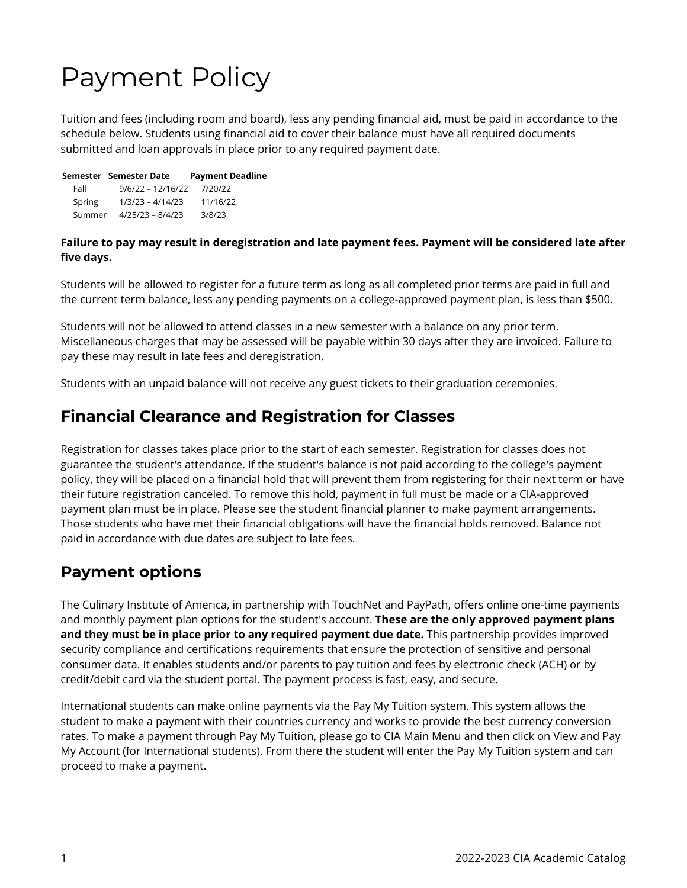# Payment Policy

Tuition and fees (including room and board), less any pending financial aid, must be paid in accordance to the schedule below. Students using financial aid to cover their balance must have all required documents submitted and loan approvals in place prior to any required payment date.

|        | Semester Semester Date | <b>Payment Deadline</b> |
|--------|------------------------|-------------------------|
| Fall   | $9/6/22 - 12/16/22$    | 7/20/22                 |
| Spring | $1/3/23 - 4/14/23$     | 11/16/22                |
| Summer | $4/25/23 - 8/4/23$     | 3/8/23                  |

#### **Failure to pay may result in deregistration and late payment fees. Payment will be considered late after five days.**

Students will be allowed to register for a future term as long as all completed prior terms are paid in full and the current term balance, less any pending payments on a college-approved payment plan, is less than \$500.

Students will not be allowed to attend classes in a new semester with a balance on any prior term. Miscellaneous charges that may be assessed will be payable within 30 days after they are invoiced. Failure to pay these may result in late fees and deregistration.

Students with an unpaid balance will not receive any guest tickets to their graduation ceremonies.

## **Financial Clearance and Registration for Classes**

Registration for classes takes place prior to the start of each semester. Registration for classes does not guarantee the student's attendance. If the student's balance is not paid according to the college's payment policy, they will be placed on a financial hold that will prevent them from registering for their next term or have their future registration canceled. To remove this hold, payment in full must be made or a CIA-approved payment plan must be in place. Please see the student financial planner to make payment arrangements. Those students who have met their financial obligations will have the financial holds removed. Balance not paid in accordance with due dates are subject to late fees.

# **Payment options**

The Culinary Institute of America, in partnership with TouchNet and PayPath, offers online one-time payments and monthly payment plan options for the student's account. **These are the only approved payment plans and they must be in place prior to any required payment due date.** This partnership provides improved security compliance and certifications requirements that ensure the protection of sensitive and personal consumer data. It enables students and/or parents to pay tuition and fees by electronic check (ACH) or by credit/debit card via the student portal. The payment process is fast, easy, and secure.

International students can make online payments via the Pay My Tuition system. This system allows the student to make a payment with their countries currency and works to provide the best currency conversion rates. To make a payment through Pay My Tuition, please go to CIA Main Menu and then click on View and Pay My Account (for International students). From there the student will enter the Pay My Tuition system and can proceed to make a payment.